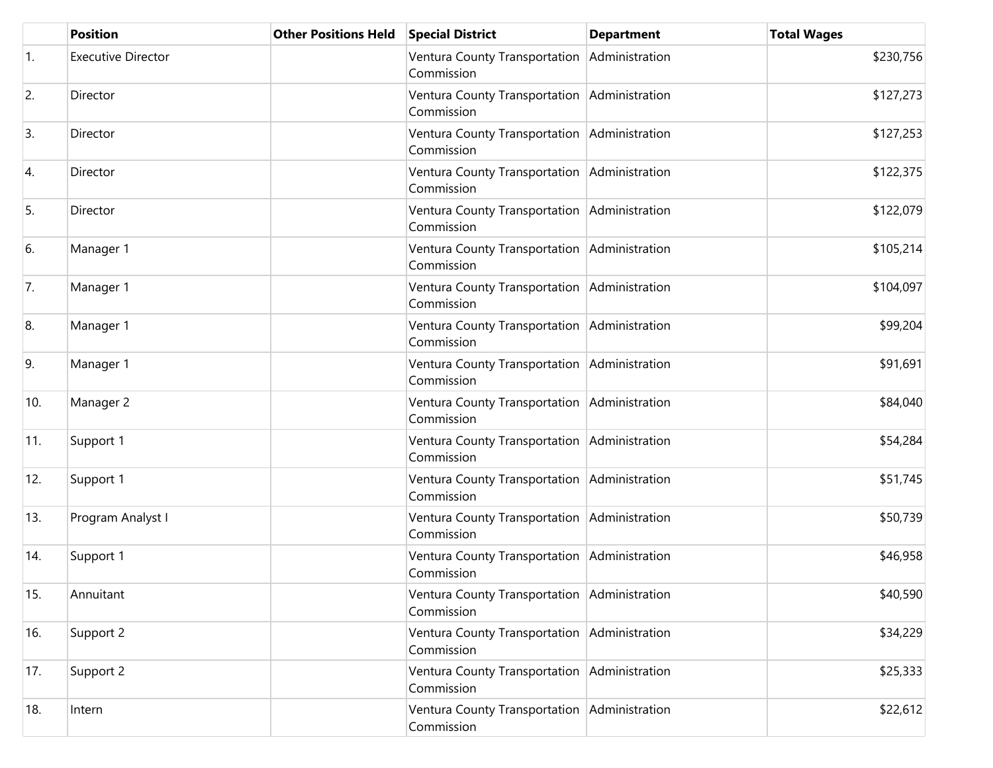|     | <b>Position</b>           | <b>Other Positions Held</b> | <b>Special District</b>                                    | <b>Department</b> | <b>Total Wages</b> |
|-----|---------------------------|-----------------------------|------------------------------------------------------------|-------------------|--------------------|
| 1.  | <b>Executive Director</b> |                             | Ventura County Transportation<br>Commission                | Administration    | \$230,756          |
| 2.  | Director                  |                             | Ventura County Transportation Administration<br>Commission |                   | \$127,273          |
| 3.  | Director                  |                             | Ventura County Transportation Administration<br>Commission |                   | \$127,253          |
| 4.  | Director                  |                             | Ventura County Transportation Administration<br>Commission |                   | \$122,375          |
| 5.  | Director                  |                             | Ventura County Transportation<br>Commission                | Administration    | \$122,079          |
| 6.  | Manager 1                 |                             | Ventura County Transportation<br>Commission                | Administration    | \$105,214          |
| 7.  | Manager 1                 |                             | Ventura County Transportation<br>Commission                | Administration    | \$104,097          |
| 8.  | Manager 1                 |                             | Ventura County Transportation<br>Commission                | Administration    | \$99,204           |
| 9.  | Manager 1                 |                             | Ventura County Transportation Administration<br>Commission |                   | \$91,691           |
| 10. | Manager 2                 |                             | Ventura County Transportation Administration<br>Commission |                   | \$84,040           |
| 11. | Support 1                 |                             | Ventura County Transportation Administration<br>Commission |                   | \$54,284           |
| 12. | Support 1                 |                             | Ventura County Transportation Administration<br>Commission |                   | \$51,745           |
| 13. | Program Analyst I         |                             | Ventura County Transportation Administration<br>Commission |                   | \$50,739           |
| 14. | Support 1                 |                             | Ventura County Transportation Administration<br>Commission |                   | \$46,958           |
| 15. | Annuitant                 |                             | Ventura County Transportation Administration<br>Commission |                   | \$40,590           |
| 16. | Support 2                 |                             | Ventura County Transportation Administration<br>Commission |                   | \$34,229           |
| 17. | Support 2                 |                             | Ventura County Transportation Administration<br>Commission |                   | \$25,333           |
| 18. | Intern                    |                             | Ventura County Transportation Administration<br>Commission |                   | \$22,612           |